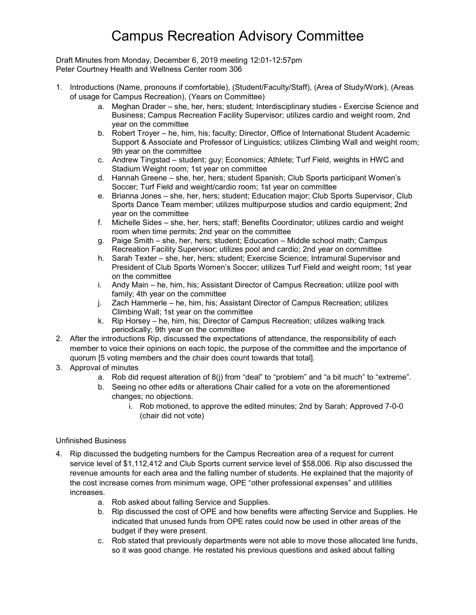## Campus Recreation Advisory Committee

Draft Minutes from Monday, December 6, 2019 meeting 12:01-12:57pm Peter Courtney Health and Wellness Center room 306

- 1. Introductions (Name, pronouns if comfortable), (Student/Faculty/Staff), (Area of Study/Work), (Areas of usage for Campus Recreation), (Years on Committee)
	- a. Meghan Drader she, her, hers; student; Interdisciplinary studies Exercise Science and Business; Campus Recreation Facility Supervisor; utilizes cardio and weight room, 2nd year on the committee
	- b. Robert Troyer he, him, his; faculty; Director, Office of International Student Academic Support & Associate and Professor of Linguistics; utilizes Climbing Wall and weight room; 9th year on the committee
	- c. Andrew Tingstad student; guy; Economics; Athlete; Turf Field, weights in HWC and Stadium Weight room; 1st year on committee
	- d. Hannah Greene she, her, hers; student Spanish; Club Sports participant Women's Soccer; Turf Field and weight/cardio room; 1st year on committee
	- e. Brianna Jones she, her, hers; student; Education major; Club Sports Supervisor, Club Sports Dance Team member; utilizes multipurpose studios and cardio equipment; 2nd year on the committee
	- f. Michelle Sides she, her, hers; staff; Benefits Coordinator; utilizes cardio and weight room when time permits; 2nd year on the committee
	- g. Paige Smith she, her, hers; student; Education Middle school math; Campus Recreation Facility Supervisor; utilizes pool and cardio; 2nd year on committee
	- h. Sarah Texter she, her, hers; student; Exercise Science; Intramural Supervisor and President of Club Sports Women's Soccer; utilizes Turf Field and weight room; 1st year on the committee
	- i. Andy Main he, him, his; Assistant Director of Campus Recreation; utilize pool with family; 4th year on the committee
	- j. Zach Hammerle he, him, his; Assistant Director of Campus Recreation; utilizes Climbing Wall; 1st year on the committee
	- k. Rip Horsey he, him, his; Director of Campus Recreation; utilizes walking track periodically; 9th year on the committee
- 2. After the introductions Rip, discussed the expectations of attendance, the responsibility of each member to voice their opinions on each topic, the purpose of the committee and the importance of quorum [5 voting members and the chair does count towards that total].
- 3. Approval of minutes
	- a. Rob did request alteration of 8(j) from "deal" to "problem" and "a bit much" to "extreme".
	- b. Seeing no other edits or alterations Chair called for a vote on the aforementioned changes; no objections.
		- i. Rob motioned, to approve the edited minutes; 2nd by Sarah; Approved 7-0-0 (chair did not vote)

## Unfinished Business

- 4. Rip discussed the budgeting numbers for the Campus Recreation area of a request for current service level of \$1,112,412 and Club Sports current service level of \$58,006. Rip also discussed the revenue amounts for each area and the falling number of students. He explained that the majority of the cost increase comes from minimum wage, OPE "other professional expenses" and utilities increases.
	- a. Rob asked about falling Service and Supplies.
	- b. Rip discussed the cost of OPE and how benefits were affecting Service and Supplies. He indicated that unused funds from OPE rates could now be used in other areas of the budget if they were present.
	- c. Rob stated that previously departments were not able to move those allocated line funds, so it was good change. He restated his previous questions and asked about falling